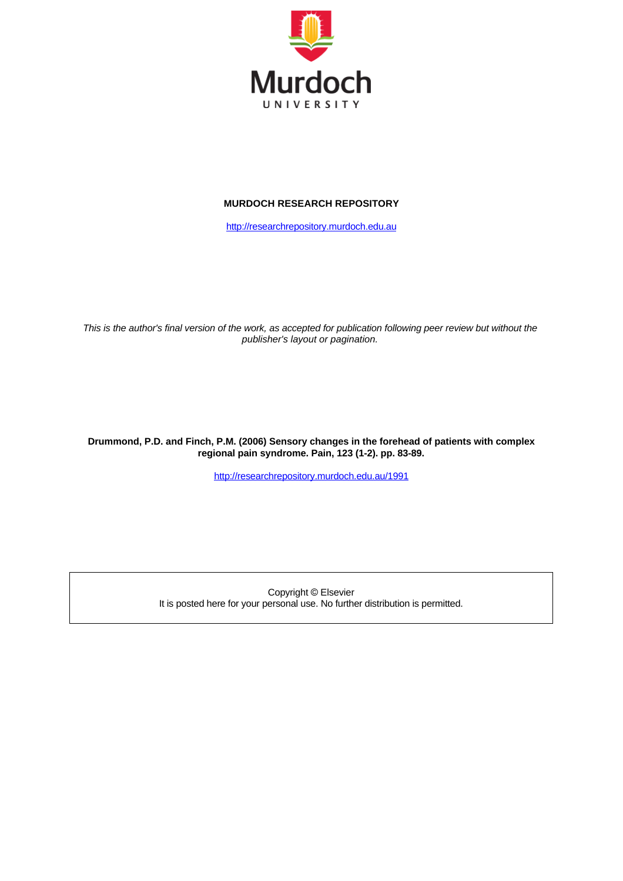

#### **MURDOCH RESEARCH REPOSITORY**

[http://researchrepository.murdoch.edu.au](http://researchrepository.murdoch.edu.au/)

*This is the author's final version of the work, as accepted for publication following peer review but without the publisher's layout or pagination.*

**Drummond, P.D. and Finch, P.M. (2006) Sensory changes in the forehead of patients with complex regional pain syndrome. Pain, 123 (1-2). pp. 83-89.**

<http://researchrepository.murdoch.edu.au/1991>

Copyright © Elsevier It is posted here for your personal use. No further distribution is permitted.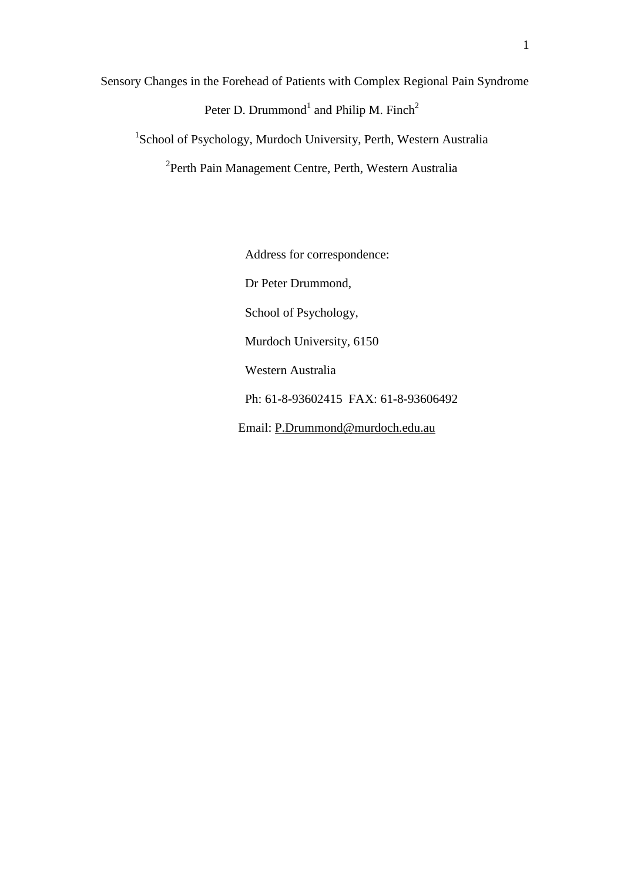Sensory Changes in the Forehead of Patients with Complex Regional Pain Syndrome Peter D. Drummond<sup>1</sup> and Philip M. Finch<sup>2</sup> <sup>1</sup>School of Psychology, Murdoch University, Perth, Western Australia

<sup>2</sup>Perth Pain Management Centre, Perth, Western Australia

Address for correspondence: Dr Peter Drummond, School of Psychology, Murdoch University, 6150 Western Australia Ph: 61-8-93602415 FAX: 61-8-93606492 Email: [P.Drummond@murdoch.edu.au](mailto:P.Drummond@murdoch.edu.au)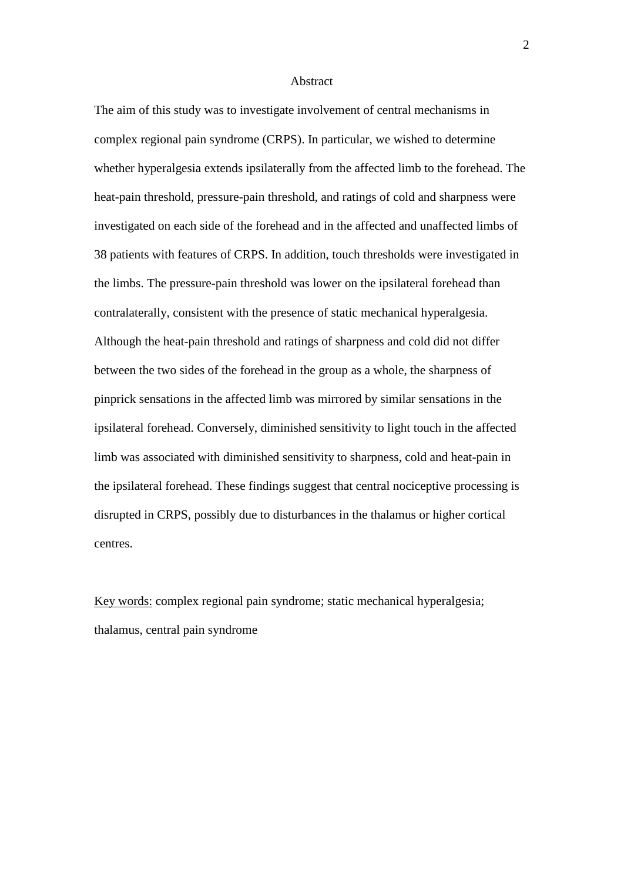#### Abstract

The aim of this study was to investigate involvement of central mechanisms in complex regional pain syndrome (CRPS). In particular, we wished to determine whether hyperalgesia extends ipsilaterally from the affected limb to the forehead. The heat-pain threshold, pressure-pain threshold, and ratings of cold and sharpness were investigated on each side of the forehead and in the affected and unaffected limbs of 38 patients with features of CRPS. In addition, touch thresholds were investigated in the limbs. The pressure-pain threshold was lower on the ipsilateral forehead than contralaterally, consistent with the presence of static mechanical hyperalgesia. Although the heat-pain threshold and ratings of sharpness and cold did not differ between the two sides of the forehead in the group as a whole, the sharpness of pinprick sensations in the affected limb was mirrored by similar sensations in the ipsilateral forehead. Conversely, diminished sensitivity to light touch in the affected limb was associated with diminished sensitivity to sharpness, cold and heat-pain in the ipsilateral forehead. These findings suggest that central nociceptive processing is disrupted in CRPS, possibly due to disturbances in the thalamus or higher cortical centres.

Key words: complex regional pain syndrome; static mechanical hyperalgesia; thalamus, central pain syndrome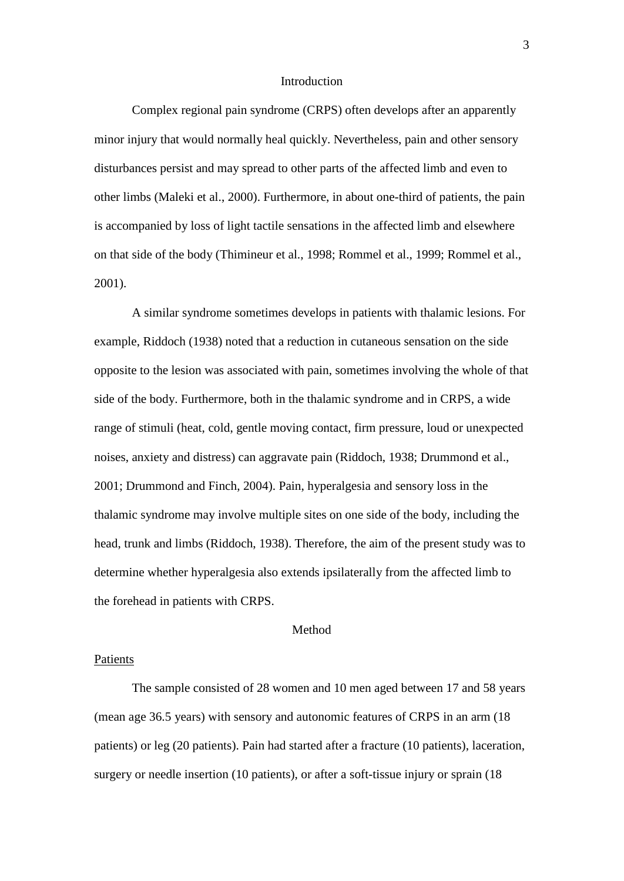#### Introduction

Complex regional pain syndrome (CRPS) often develops after an apparently minor injury that would normally heal quickly. Nevertheless, pain and other sensory disturbances persist and may spread to other parts of the affected limb and even to other limbs (Maleki et al., 2000). Furthermore, in about one-third of patients, the pain is accompanied by loss of light tactile sensations in the affected limb and elsewhere on that side of the body (Thimineur et al., 1998; Rommel et al., 1999; Rommel et al., 2001).

A similar syndrome sometimes develops in patients with thalamic lesions. For example, Riddoch (1938) noted that a reduction in cutaneous sensation on the side opposite to the lesion was associated with pain, sometimes involving the whole of that side of the body. Furthermore, both in the thalamic syndrome and in CRPS, a wide range of stimuli (heat, cold, gentle moving contact, firm pressure, loud or unexpected noises, anxiety and distress) can aggravate pain (Riddoch, 1938; Drummond et al., 2001; Drummond and Finch, 2004). Pain, hyperalgesia and sensory loss in the thalamic syndrome may involve multiple sites on one side of the body, including the head, trunk and limbs (Riddoch, 1938). Therefore, the aim of the present study was to determine whether hyperalgesia also extends ipsilaterally from the affected limb to the forehead in patients with CRPS.

#### Method

#### Patients

The sample consisted of 28 women and 10 men aged between 17 and 58 years (mean age 36.5 years) with sensory and autonomic features of CRPS in an arm (18 patients) or leg (20 patients). Pain had started after a fracture (10 patients), laceration, surgery or needle insertion (10 patients), or after a soft-tissue injury or sprain (18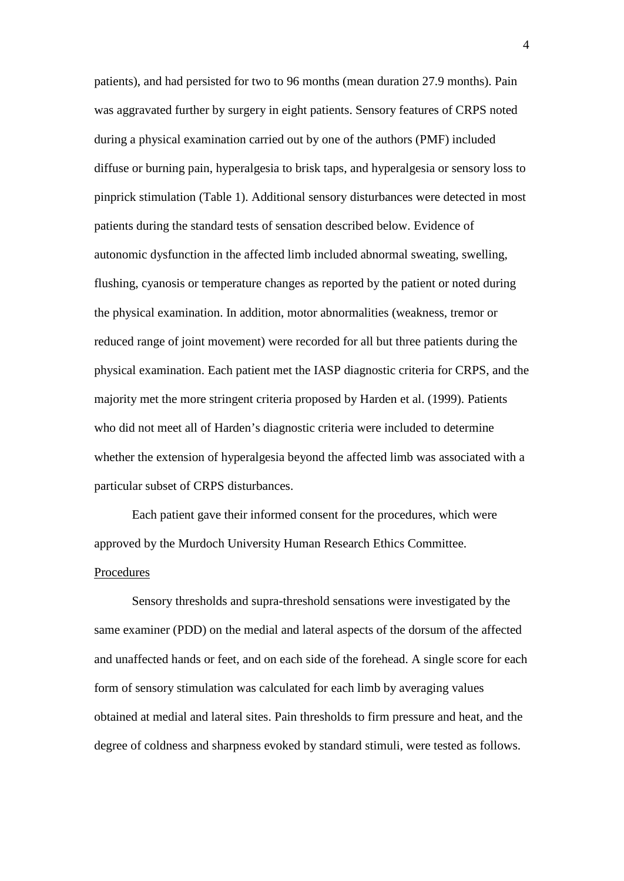patients), and had persisted for two to 96 months (mean duration 27.9 months). Pain was aggravated further by surgery in eight patients. Sensory features of CRPS noted during a physical examination carried out by one of the authors (PMF) included diffuse or burning pain, hyperalgesia to brisk taps, and hyperalgesia or sensory loss to pinprick stimulation (Table 1). Additional sensory disturbances were detected in most patients during the standard tests of sensation described below. Evidence of autonomic dysfunction in the affected limb included abnormal sweating, swelling, flushing, cyanosis or temperature changes as reported by the patient or noted during the physical examination. In addition, motor abnormalities (weakness, tremor or reduced range of joint movement) were recorded for all but three patients during the physical examination. Each patient met the IASP diagnostic criteria for CRPS, and the majority met the more stringent criteria proposed by Harden et al. (1999). Patients who did not meet all of Harden's diagnostic criteria were included to determine whether the extension of hyperalgesia beyond the affected limb was associated with a particular subset of CRPS disturbances.

Each patient gave their informed consent for the procedures, which were approved by the Murdoch University Human Research Ethics Committee. Procedures

Sensory thresholds and supra-threshold sensations were investigated by the same examiner (PDD) on the medial and lateral aspects of the dorsum of the affected and unaffected hands or feet, and on each side of the forehead. A single score for each form of sensory stimulation was calculated for each limb by averaging values obtained at medial and lateral sites. Pain thresholds to firm pressure and heat, and the degree of coldness and sharpness evoked by standard stimuli, were tested as follows.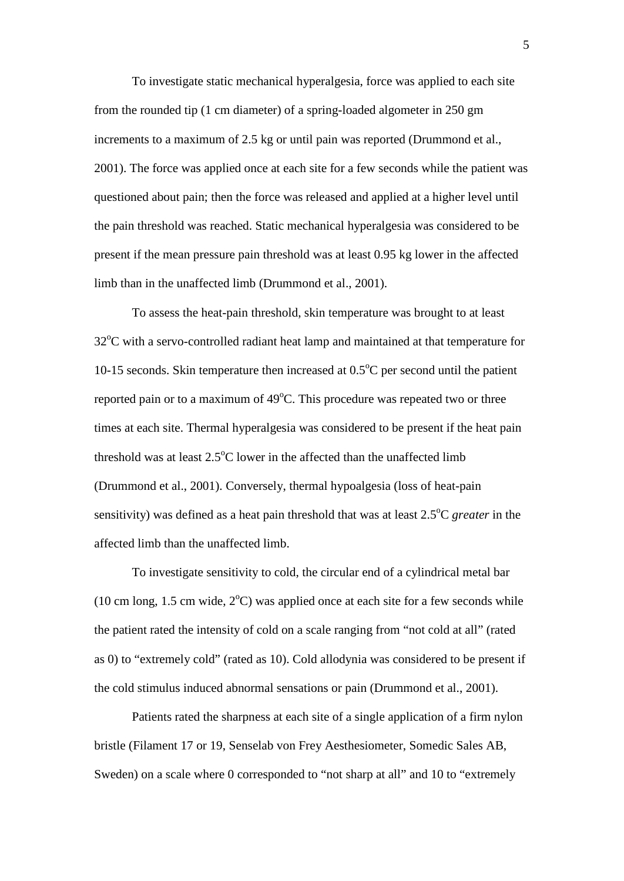To investigate static mechanical hyperalgesia, force was applied to each site from the rounded tip (1 cm diameter) of a spring-loaded algometer in 250 gm increments to a maximum of 2.5 kg or until pain was reported (Drummond et al., 2001). The force was applied once at each site for a few seconds while the patient was questioned about pain; then the force was released and applied at a higher level until the pain threshold was reached. Static mechanical hyperalgesia was considered to be present if the mean pressure pain threshold was at least 0.95 kg lower in the affected limb than in the unaffected limb (Drummond et al., 2001).

To assess the heat-pain threshold, skin temperature was brought to at least 32°C with a servo-controlled radiant heat lamp and maintained at that temperature for 10-15 seconds. Skin temperature then increased at  $0.5^{\circ}$ C per second until the patient reported pain or to a maximum of 49°C. This procedure was repeated two or three times at each site. Thermal hyperalgesia was considered to be present if the heat pain threshold was at least  $2.5^{\circ}$ C lower in the affected than the unaffected limb (Drummond et al., 2001). Conversely, thermal hypoalgesia (loss of heat-pain sensitivity) was defined as a heat pain threshold that was at least 2.5°C *greater* in the affected limb than the unaffected limb.

To investigate sensitivity to cold, the circular end of a cylindrical metal bar (10 cm long, 1.5 cm wide,  $2^{\circ}$ C) was applied once at each site for a few seconds while the patient rated the intensity of cold on a scale ranging from "not cold at all" (rated as 0) to "extremely cold" (rated as 10). Cold allodynia was considered to be present if the cold stimulus induced abnormal sensations or pain (Drummond et al., 2001).

Patients rated the sharpness at each site of a single application of a firm nylon bristle (Filament 17 or 19, Senselab von Frey Aesthesiometer, Somedic Sales AB, Sweden) on a scale where 0 corresponded to "not sharp at all" and 10 to "extremely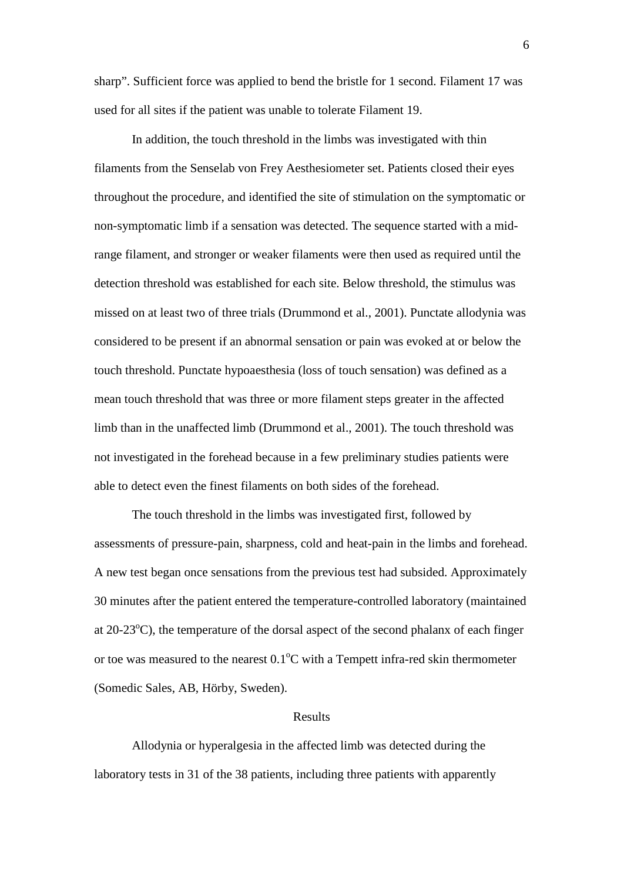sharp". Sufficient force was applied to bend the bristle for 1 second. Filament 17 was used for all sites if the patient was unable to tolerate Filament 19.

In addition, the touch threshold in the limbs was investigated with thin filaments from the Senselab von Frey Aesthesiometer set. Patients closed their eyes throughout the procedure, and identified the site of stimulation on the symptomatic or non-symptomatic limb if a sensation was detected. The sequence started with a midrange filament, and stronger or weaker filaments were then used as required until the detection threshold was established for each site. Below threshold, the stimulus was missed on at least two of three trials (Drummond et al., 2001). Punctate allodynia was considered to be present if an abnormal sensation or pain was evoked at or below the touch threshold. Punctate hypoaesthesia (loss of touch sensation) was defined as a mean touch threshold that was three or more filament steps greater in the affected limb than in the unaffected limb (Drummond et al., 2001). The touch threshold was not investigated in the forehead because in a few preliminary studies patients were able to detect even the finest filaments on both sides of the forehead.

The touch threshold in the limbs was investigated first, followed by assessments of pressure-pain, sharpness, cold and heat-pain in the limbs and forehead. A new test began once sensations from the previous test had subsided. Approximately 30 minutes after the patient entered the temperature-controlled laboratory (maintained at 20-23°C), the temperature of the dorsal aspect of the second phalanx of each finger or toe was measured to the nearest  $0.1^{\circ}$ C with a Tempett infra-red skin thermometer (Somedic Sales, AB, Hörby, Sweden).

#### Results

Allodynia or hyperalgesia in the affected limb was detected during the laboratory tests in 31 of the 38 patients, including three patients with apparently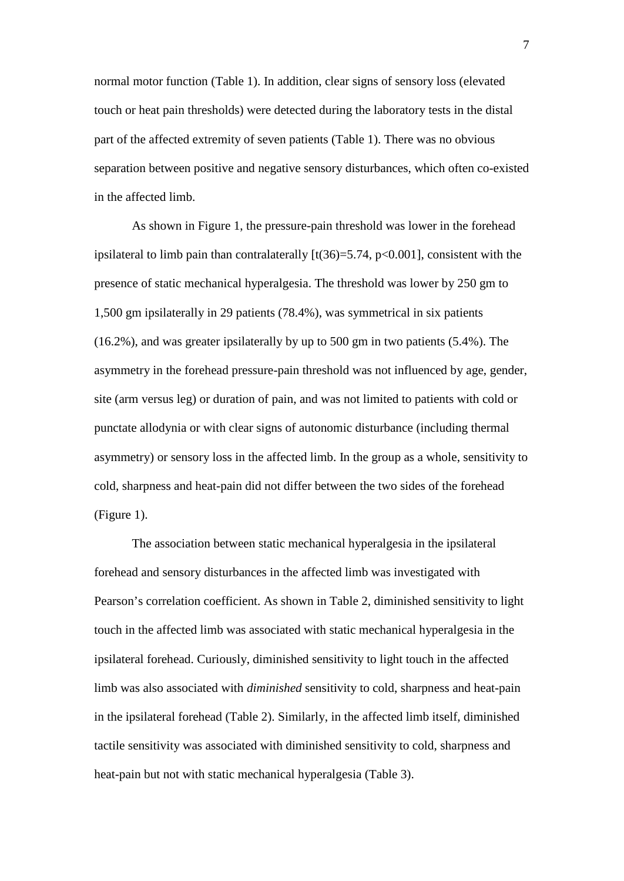normal motor function (Table 1). In addition, clear signs of sensory loss (elevated touch or heat pain thresholds) were detected during the laboratory tests in the distal part of the affected extremity of seven patients (Table 1). There was no obvious separation between positive and negative sensory disturbances, which often co-existed in the affected limb.

As shown in Figure 1, the pressure-pain threshold was lower in the forehead ipsilateral to limb pain than contralaterally  $[t(36)=5.74, p<0.001]$ , consistent with the presence of static mechanical hyperalgesia. The threshold was lower by 250 gm to 1,500 gm ipsilaterally in 29 patients (78.4%), was symmetrical in six patients (16.2%), and was greater ipsilaterally by up to 500 gm in two patients (5.4%). The asymmetry in the forehead pressure-pain threshold was not influenced by age, gender, site (arm versus leg) or duration of pain, and was not limited to patients with cold or punctate allodynia or with clear signs of autonomic disturbance (including thermal asymmetry) or sensory loss in the affected limb. In the group as a whole, sensitivity to cold, sharpness and heat-pain did not differ between the two sides of the forehead (Figure 1).

The association between static mechanical hyperalgesia in the ipsilateral forehead and sensory disturbances in the affected limb was investigated with Pearson's correlation coefficient. As shown in Table 2, diminished sensitivity to light touch in the affected limb was associated with static mechanical hyperalgesia in the ipsilateral forehead. Curiously, diminished sensitivity to light touch in the affected limb was also associated with *diminished* sensitivity to cold, sharpness and heat-pain in the ipsilateral forehead (Table 2). Similarly, in the affected limb itself, diminished tactile sensitivity was associated with diminished sensitivity to cold, sharpness and heat-pain but not with static mechanical hyperalgesia (Table 3).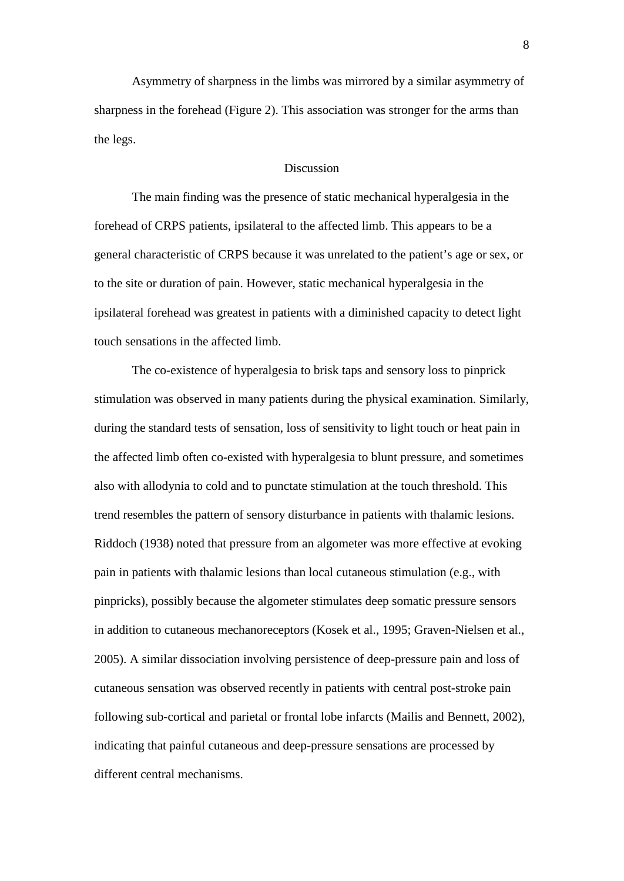Asymmetry of sharpness in the limbs was mirrored by a similar asymmetry of sharpness in the forehead (Figure 2). This association was stronger for the arms than the legs.

### Discussion

The main finding was the presence of static mechanical hyperalgesia in the forehead of CRPS patients, ipsilateral to the affected limb. This appears to be a general characteristic of CRPS because it was unrelated to the patient's age or sex, or to the site or duration of pain. However, static mechanical hyperalgesia in the ipsilateral forehead was greatest in patients with a diminished capacity to detect light touch sensations in the affected limb.

The co-existence of hyperalgesia to brisk taps and sensory loss to pinprick stimulation was observed in many patients during the physical examination. Similarly, during the standard tests of sensation, loss of sensitivity to light touch or heat pain in the affected limb often co-existed with hyperalgesia to blunt pressure, and sometimes also with allodynia to cold and to punctate stimulation at the touch threshold. This trend resembles the pattern of sensory disturbance in patients with thalamic lesions. Riddoch (1938) noted that pressure from an algometer was more effective at evoking pain in patients with thalamic lesions than local cutaneous stimulation (e.g., with pinpricks), possibly because the algometer stimulates deep somatic pressure sensors in addition to cutaneous mechanoreceptors (Kosek et al., 1995; Graven-Nielsen et al., 2005). A similar dissociation involving persistence of deep-pressure pain and loss of cutaneous sensation was observed recently in patients with central post-stroke pain following sub-cortical and parietal or frontal lobe infarcts (Mailis and Bennett, 2002), indicating that painful cutaneous and deep-pressure sensations are processed by different central mechanisms.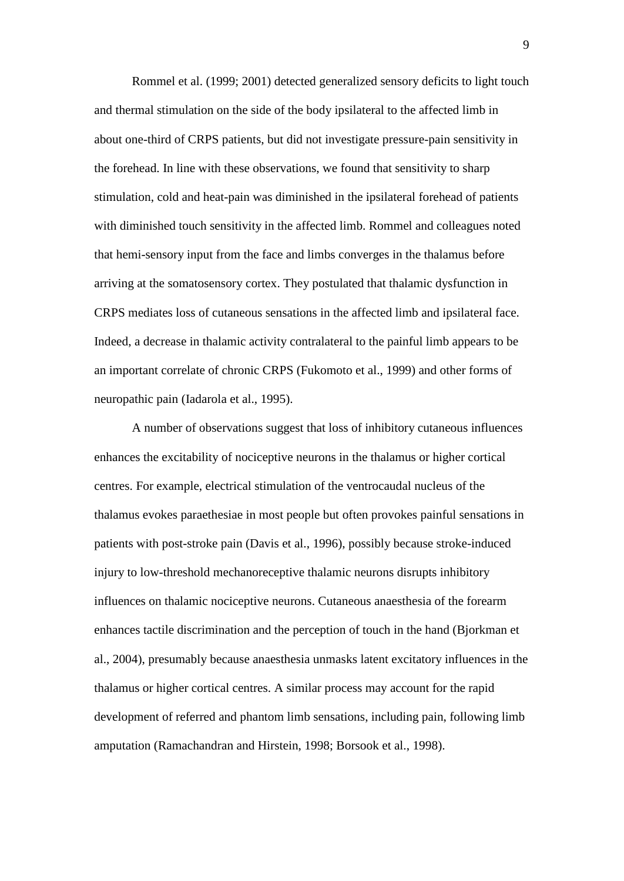Rommel et al. (1999; 2001) detected generalized sensory deficits to light touch and thermal stimulation on the side of the body ipsilateral to the affected limb in about one-third of CRPS patients, but did not investigate pressure-pain sensitivity in the forehead. In line with these observations, we found that sensitivity to sharp stimulation, cold and heat-pain was diminished in the ipsilateral forehead of patients with diminished touch sensitivity in the affected limb. Rommel and colleagues noted that hemi-sensory input from the face and limbs converges in the thalamus before arriving at the somatosensory cortex. They postulated that thalamic dysfunction in CRPS mediates loss of cutaneous sensations in the affected limb and ipsilateral face. Indeed, a decrease in thalamic activity contralateral to the painful limb appears to be an important correlate of chronic CRPS (Fukomoto et al., 1999) and other forms of neuropathic pain (Iadarola et al., 1995).

A number of observations suggest that loss of inhibitory cutaneous influences enhances the excitability of nociceptive neurons in the thalamus or higher cortical centres. For example, electrical stimulation of the ventrocaudal nucleus of the thalamus evokes paraethesiae in most people but often provokes painful sensations in patients with post-stroke pain (Davis et al., 1996), possibly because stroke-induced injury to low-threshold mechanoreceptive thalamic neurons disrupts inhibitory influences on thalamic nociceptive neurons. Cutaneous anaesthesia of the forearm enhances tactile discrimination and the perception of touch in the hand (Bjorkman et al., 2004), presumably because anaesthesia unmasks latent excitatory influences in the thalamus or higher cortical centres. A similar process may account for the rapid development of referred and phantom limb sensations, including pain, following limb amputation (Ramachandran and Hirstein, 1998; Borsook et al., 1998).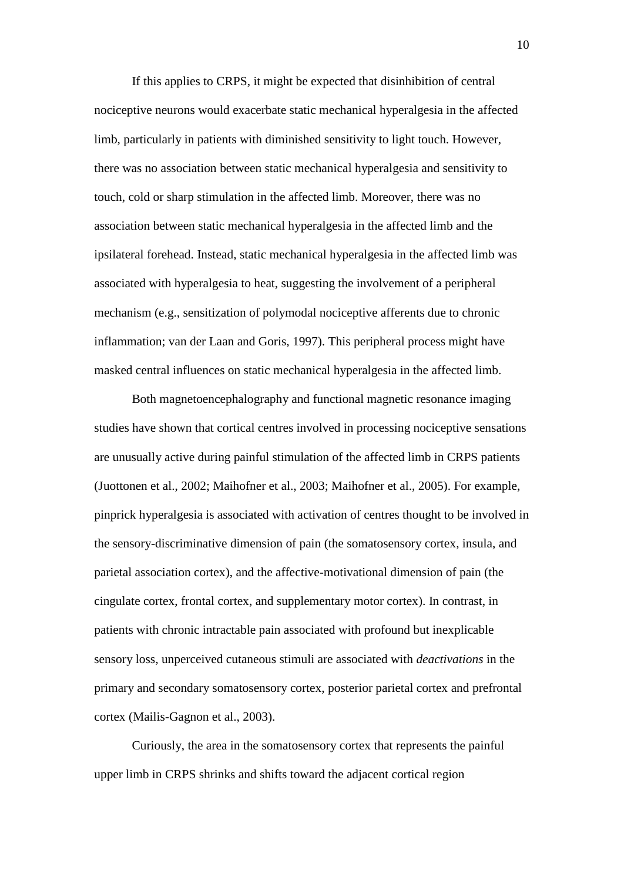If this applies to CRPS, it might be expected that disinhibition of central nociceptive neurons would exacerbate static mechanical hyperalgesia in the affected limb, particularly in patients with diminished sensitivity to light touch. However, there was no association between static mechanical hyperalgesia and sensitivity to touch, cold or sharp stimulation in the affected limb. Moreover, there was no association between static mechanical hyperalgesia in the affected limb and the ipsilateral forehead. Instead, static mechanical hyperalgesia in the affected limb was associated with hyperalgesia to heat, suggesting the involvement of a peripheral mechanism (e.g., sensitization of polymodal nociceptive afferents due to chronic inflammation; van der Laan and Goris, 1997). This peripheral process might have masked central influences on static mechanical hyperalgesia in the affected limb.

Both magnetoencephalography and functional magnetic resonance imaging studies have shown that cortical centres involved in processing nociceptive sensations are unusually active during painful stimulation of the affected limb in CRPS patients (Juottonen et al., 2002; Maihofner et al., 2003; Maihofner et al., 2005). For example, pinprick hyperalgesia is associated with activation of centres thought to be involved in the sensory-discriminative dimension of pain (the somatosensory cortex, insula, and parietal association cortex), and the affective-motivational dimension of pain (the cingulate cortex, frontal cortex, and supplementary motor cortex). In contrast, in patients with chronic intractable pain associated with profound but inexplicable sensory loss, unperceived cutaneous stimuli are associated with *deactivations* in the primary and secondary somatosensory cortex, posterior parietal cortex and prefrontal cortex (Mailis-Gagnon et al., 2003).

Curiously, the area in the somatosensory cortex that represents the painful upper limb in CRPS shrinks and shifts toward the adjacent cortical region

10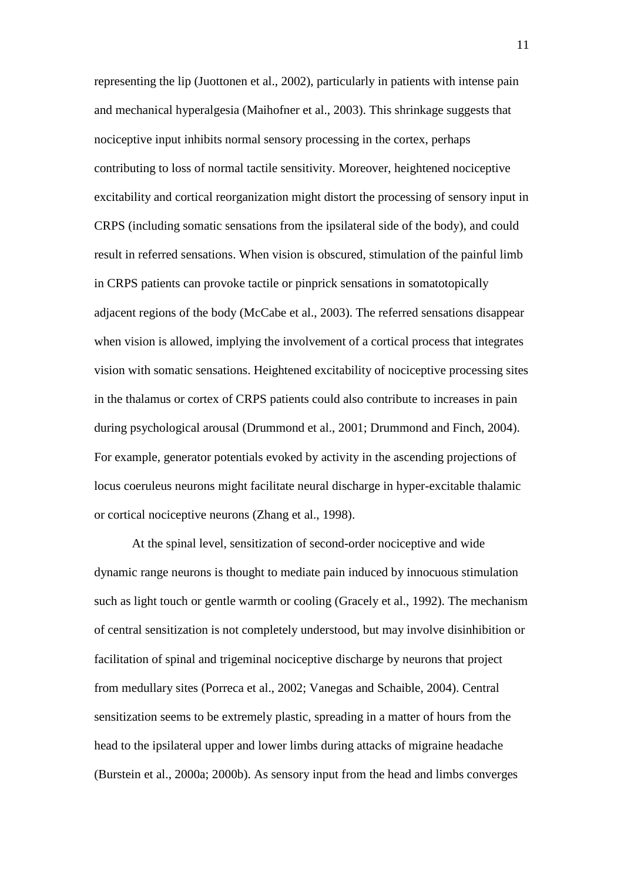representing the lip (Juottonen et al., 2002), particularly in patients with intense pain and mechanical hyperalgesia (Maihofner et al., 2003). This shrinkage suggests that nociceptive input inhibits normal sensory processing in the cortex, perhaps contributing to loss of normal tactile sensitivity. Moreover, heightened nociceptive excitability and cortical reorganization might distort the processing of sensory input in CRPS (including somatic sensations from the ipsilateral side of the body), and could result in referred sensations. When vision is obscured, stimulation of the painful limb in CRPS patients can provoke tactile or pinprick sensations in somatotopically adjacent regions of the body (McCabe et al., 2003). The referred sensations disappear when vision is allowed, implying the involvement of a cortical process that integrates vision with somatic sensations. Heightened excitability of nociceptive processing sites in the thalamus or cortex of CRPS patients could also contribute to increases in pain during psychological arousal (Drummond et al., 2001; Drummond and Finch, 2004). For example, generator potentials evoked by activity in the ascending projections of locus coeruleus neurons might facilitate neural discharge in hyper-excitable thalamic or cortical nociceptive neurons (Zhang et al., 1998).

At the spinal level, sensitization of second-order nociceptive and wide dynamic range neurons is thought to mediate pain induced by innocuous stimulation such as light touch or gentle warmth or cooling (Gracely et al., 1992). The mechanism of central sensitization is not completely understood, but may involve disinhibition or facilitation of spinal and trigeminal nociceptive discharge by neurons that project from medullary sites (Porreca et al., 2002; Vanegas and Schaible, 2004). Central sensitization seems to be extremely plastic, spreading in a matter of hours from the head to the ipsilateral upper and lower limbs during attacks of migraine headache (Burstein et al., 2000a; 2000b). As sensory input from the head and limbs converges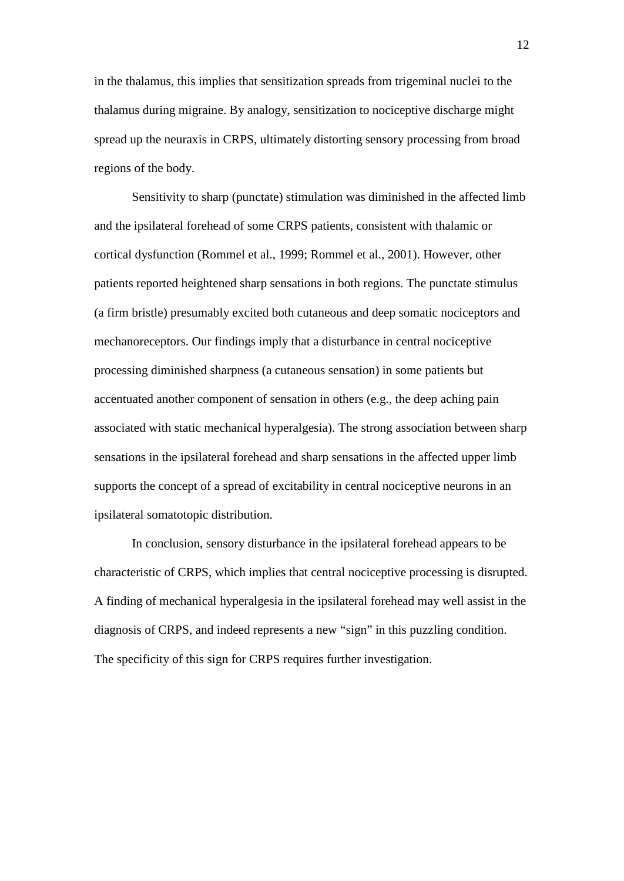in the thalamus, this implies that sensitization spreads from trigeminal nuclei to the thalamus during migraine. By analogy, sensitization to nociceptive discharge might spread up the neuraxis in CRPS, ultimately distorting sensory processing from broad regions of the body.

Sensitivity to sharp (punctate) stimulation was diminished in the affected limb and the ipsilateral forehead of some CRPS patients, consistent with thalamic or cortical dysfunction (Rommel et al., 1999; Rommel et al., 2001). However, other patients reported heightened sharp sensations in both regions. The punctate stimulus (a firm bristle) presumably excited both cutaneous and deep somatic nociceptors and mechanoreceptors. Our findings imply that a disturbance in central nociceptive processing diminished sharpness (a cutaneous sensation) in some patients but accentuated another component of sensation in others (e.g., the deep aching pain associated with static mechanical hyperalgesia). The strong association between sharp sensations in the ipsilateral forehead and sharp sensations in the affected upper limb supports the concept of a spread of excitability in central nociceptive neurons in an ipsilateral somatotopic distribution.

In conclusion, sensory disturbance in the ipsilateral forehead appears to be characteristic of CRPS, which implies that central nociceptive processing is disrupted. A finding of mechanical hyperalgesia in the ipsilateral forehead may well assist in the diagnosis of CRPS, and indeed represents a new "sign" in this puzzling condition. The specificity of this sign for CRPS requires further investigation.

12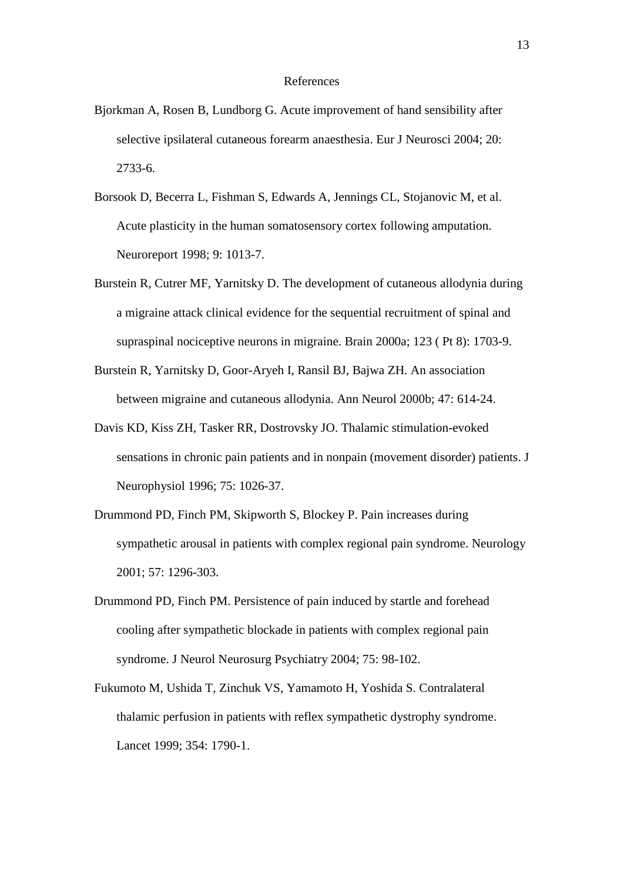#### References

- Bjorkman A, Rosen B, Lundborg G. Acute improvement of hand sensibility after selective ipsilateral cutaneous forearm anaesthesia. Eur J Neurosci 2004; 20: 2733-6.
- Borsook D, Becerra L, Fishman S, Edwards A, Jennings CL, Stojanovic M, et al. Acute plasticity in the human somatosensory cortex following amputation. Neuroreport 1998; 9: 1013-7.
- Burstein R, Cutrer MF, Yarnitsky D. The development of cutaneous allodynia during a migraine attack clinical evidence for the sequential recruitment of spinal and supraspinal nociceptive neurons in migraine. Brain 2000a; 123 ( Pt 8): 1703-9.
- Burstein R, Yarnitsky D, Goor-Aryeh I, Ransil BJ, Bajwa ZH. An association between migraine and cutaneous allodynia. Ann Neurol 2000b; 47: 614-24.
- Davis KD, Kiss ZH, Tasker RR, Dostrovsky JO. Thalamic stimulation-evoked sensations in chronic pain patients and in nonpain (movement disorder) patients. J Neurophysiol 1996; 75: 1026-37.
- Drummond PD, Finch PM, Skipworth S, Blockey P. Pain increases during sympathetic arousal in patients with complex regional pain syndrome. Neurology 2001; 57: 1296-303.
- Drummond PD, Finch PM. Persistence of pain induced by startle and forehead cooling after sympathetic blockade in patients with complex regional pain syndrome. J Neurol Neurosurg Psychiatry 2004; 75: 98-102.
- Fukumoto M, Ushida T, Zinchuk VS, Yamamoto H, Yoshida S. Contralateral thalamic perfusion in patients with reflex sympathetic dystrophy syndrome. Lancet 1999; 354: 1790-1.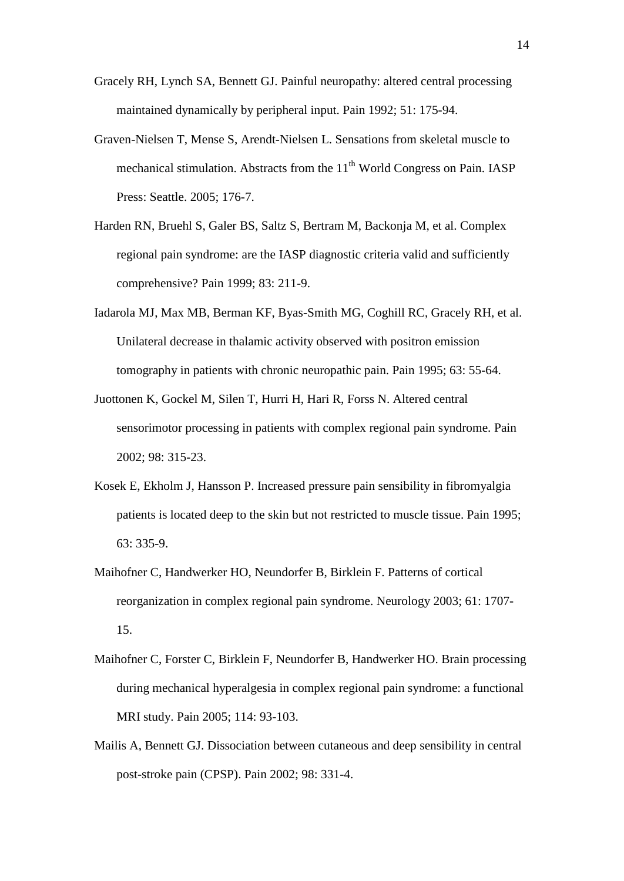- Gracely RH, Lynch SA, Bennett GJ. Painful neuropathy: altered central processing maintained dynamically by peripheral input. Pain 1992; 51: 175-94.
- Graven-Nielsen T, Mense S, Arendt-Nielsen L. Sensations from skeletal muscle to mechanical stimulation. Abstracts from the  $11<sup>th</sup>$  World Congress on Pain. IASP Press: Seattle. 2005; 176-7.
- Harden RN, Bruehl S, Galer BS, Saltz S, Bertram M, Backonja M, et al. Complex regional pain syndrome: are the IASP diagnostic criteria valid and sufficiently comprehensive? Pain 1999; 83: 211-9.
- Iadarola MJ, Max MB, Berman KF, Byas-Smith MG, Coghill RC, Gracely RH, et al. Unilateral decrease in thalamic activity observed with positron emission tomography in patients with chronic neuropathic pain. Pain 1995; 63: 55-64.
- Juottonen K, Gockel M, Silen T, Hurri H, Hari R, Forss N. Altered central sensorimotor processing in patients with complex regional pain syndrome. Pain 2002; 98: 315-23.
- Kosek E, Ekholm J, Hansson P. Increased pressure pain sensibility in fibromyalgia patients is located deep to the skin but not restricted to muscle tissue. Pain 1995; 63: 335-9.
- Maihofner C, Handwerker HO, Neundorfer B, Birklein F. Patterns of cortical reorganization in complex regional pain syndrome. Neurology 2003; 61: 1707- 15.
- Maihofner C, Forster C, Birklein F, Neundorfer B, Handwerker HO. Brain processing during mechanical hyperalgesia in complex regional pain syndrome: a functional MRI study. Pain 2005; 114: 93-103.
- Mailis A, Bennett GJ. Dissociation between cutaneous and deep sensibility in central post-stroke pain (CPSP). Pain 2002; 98: 331-4.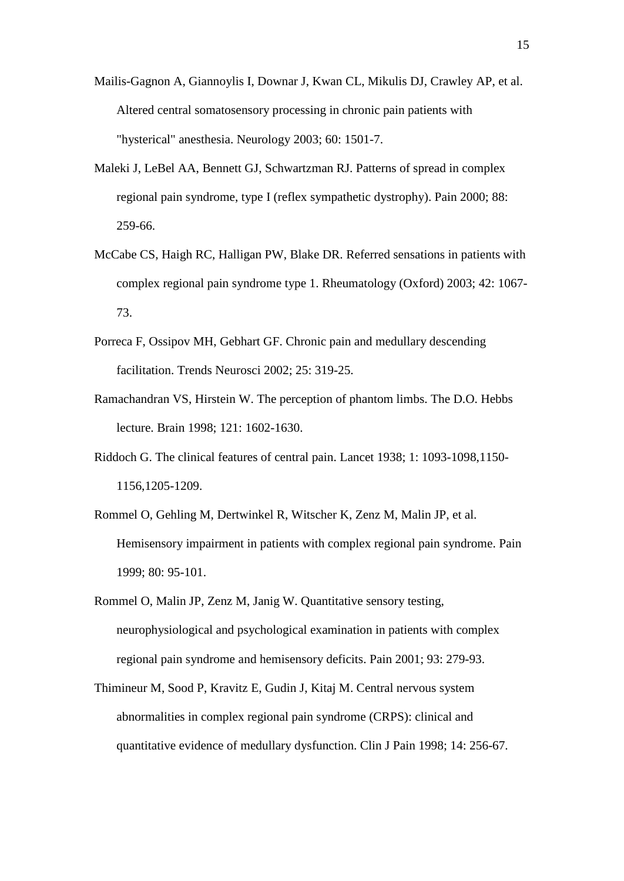- Mailis-Gagnon A, Giannoylis I, Downar J, Kwan CL, Mikulis DJ, Crawley AP, et al. Altered central somatosensory processing in chronic pain patients with "hysterical" anesthesia. Neurology 2003; 60: 1501-7.
- Maleki J, LeBel AA, Bennett GJ, Schwartzman RJ. Patterns of spread in complex regional pain syndrome, type I (reflex sympathetic dystrophy). Pain 2000; 88: 259-66.
- McCabe CS, Haigh RC, Halligan PW, Blake DR. Referred sensations in patients with complex regional pain syndrome type 1. Rheumatology (Oxford) 2003; 42: 1067- 73.
- Porreca F, Ossipov MH, Gebhart GF. Chronic pain and medullary descending facilitation. Trends Neurosci 2002; 25: 319-25.
- Ramachandran VS, Hirstein W. The perception of phantom limbs. The D.O. Hebbs lecture. Brain 1998; 121: 1602-1630.
- Riddoch G. The clinical features of central pain. Lancet 1938; 1: 1093-1098,1150- 1156,1205-1209.
- Rommel O, Gehling M, Dertwinkel R, Witscher K, Zenz M, Malin JP, et al. Hemisensory impairment in patients with complex regional pain syndrome. Pain 1999; 80: 95-101.
- Rommel O, Malin JP, Zenz M, Janig W. Quantitative sensory testing, neurophysiological and psychological examination in patients with complex regional pain syndrome and hemisensory deficits. Pain 2001; 93: 279-93.
- Thimineur M, Sood P, Kravitz E, Gudin J, Kitaj M. Central nervous system abnormalities in complex regional pain syndrome (CRPS): clinical and quantitative evidence of medullary dysfunction. Clin J Pain 1998; 14: 256-67.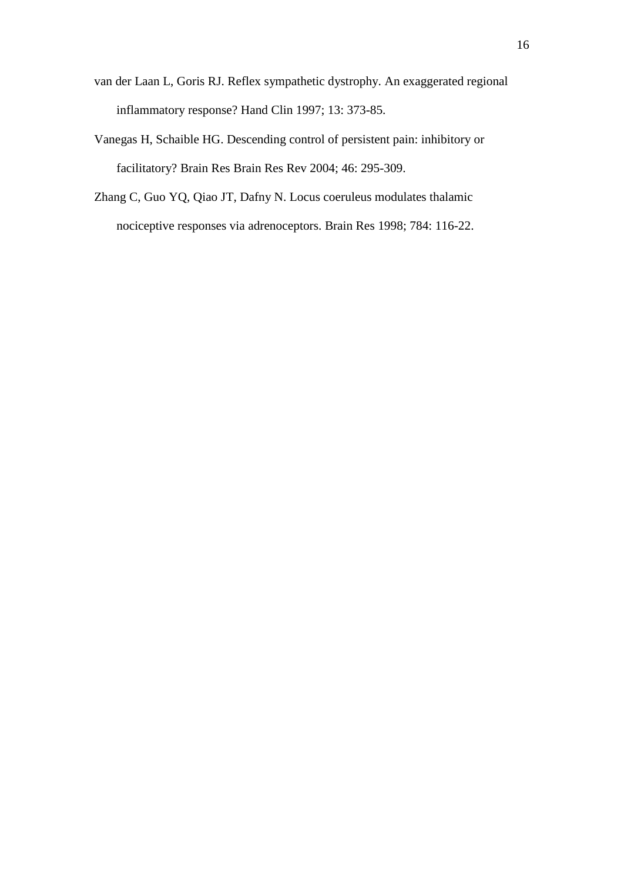- van der Laan L, Goris RJ. Reflex sympathetic dystrophy. An exaggerated regional inflammatory response? Hand Clin 1997; 13: 373-85.
- Vanegas H, Schaible HG. Descending control of persistent pain: inhibitory or facilitatory? Brain Res Brain Res Rev 2004; 46: 295-309.
- Zhang C, Guo YQ, Qiao JT, Dafny N. Locus coeruleus modulates thalamic nociceptive responses via adrenoceptors. Brain Res 1998; 784: 116-22.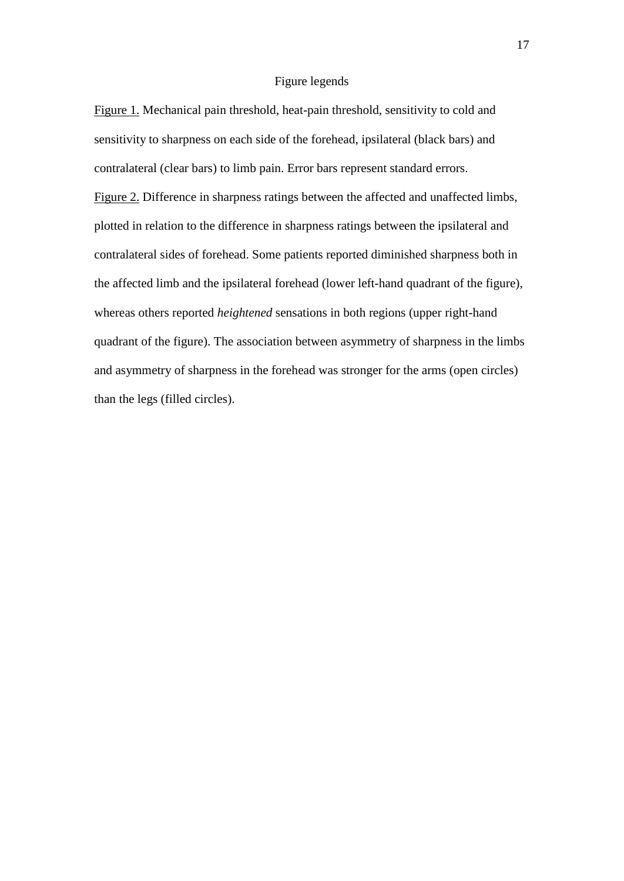### Figure legends

Figure 1. Mechanical pain threshold, heat-pain threshold, sensitivity to cold and sensitivity to sharpness on each side of the forehead, ipsilateral (black bars) and contralateral (clear bars) to limb pain. Error bars represent standard errors. Figure 2. Difference in sharpness ratings between the affected and unaffected limbs, plotted in relation to the difference in sharpness ratings between the ipsilateral and contralateral sides of forehead. Some patients reported diminished sharpness both in the affected limb and the ipsilateral forehead (lower left-hand quadrant of the figure), whereas others reported *heightened* sensations in both regions (upper right-hand quadrant of the figure). The association between asymmetry of sharpness in the limbs and asymmetry of sharpness in the forehead was stronger for the arms (open circles) than the legs (filled circles).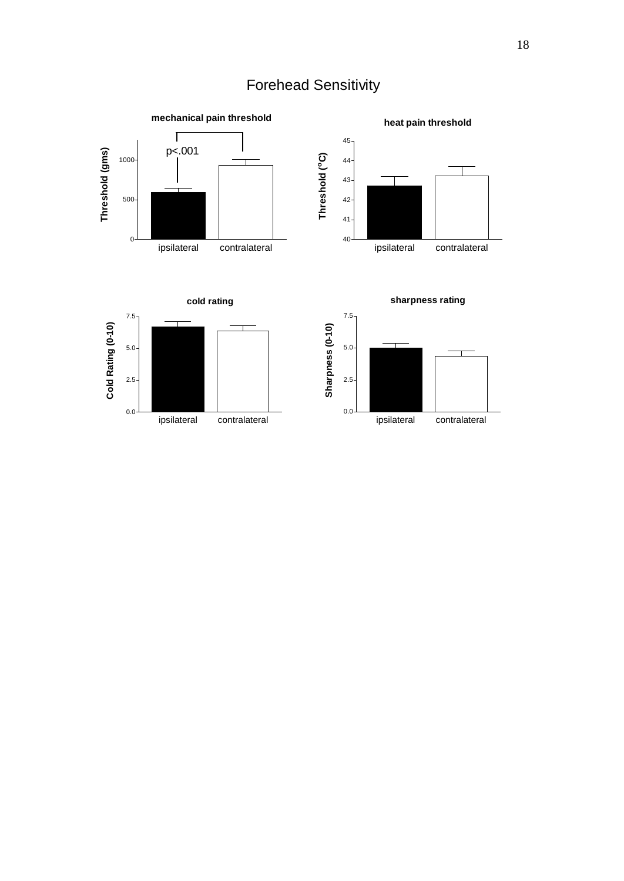# Forehead Sensitivity

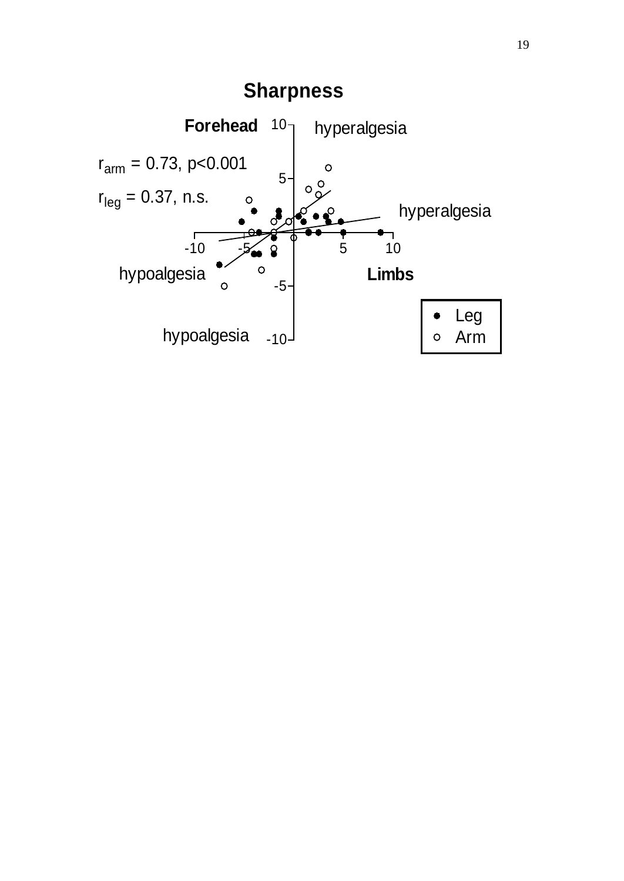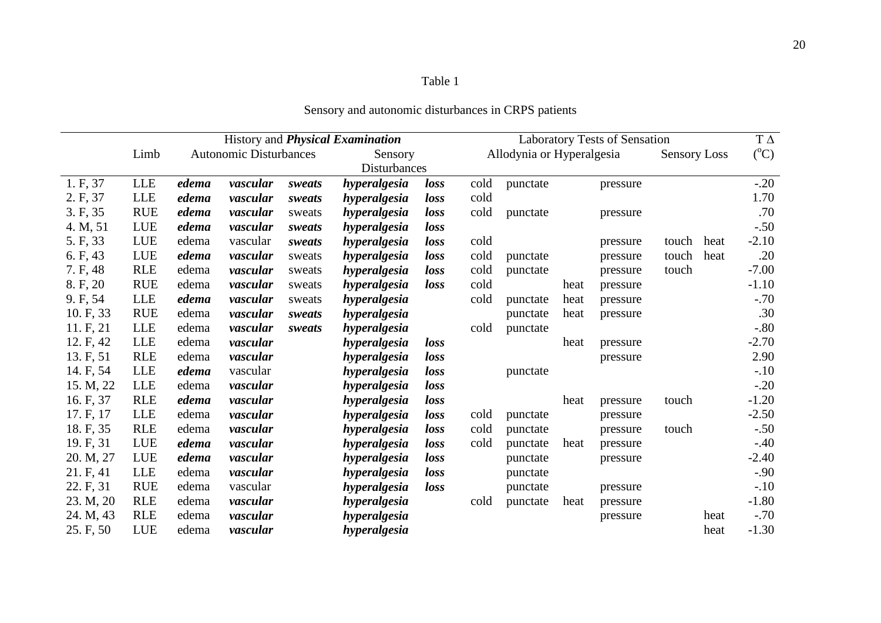# Table 1

|           |            |                               | History and <i>Physical Examination</i> |         |              |                           | <b>Laboratory Tests of Sensation</b> |          |                     |          |                 | $T \Delta$ |         |
|-----------|------------|-------------------------------|-----------------------------------------|---------|--------------|---------------------------|--------------------------------------|----------|---------------------|----------|-----------------|------------|---------|
|           | Limb       | <b>Autonomic Disturbances</b> |                                         | Sensory |              | Allodynia or Hyperalgesia |                                      |          | <b>Sensory Loss</b> |          | $({}^{\circ}C)$ |            |         |
|           |            |                               |                                         |         | Disturbances |                           |                                      |          |                     |          |                 |            |         |
| 1. F, 37  | LLE        | edema                         | vascular                                | sweats  | hyperalgesia | loss                      | cold                                 | punctate |                     | pressure |                 |            | $-.20$  |
| 2. F, 37  | LLE        | edema                         | vascular                                | sweats  | hyperalgesia | loss                      | cold                                 |          |                     |          |                 |            | 1.70    |
| 3. F, 35  | <b>RUE</b> | edema                         | vascular                                | sweats  | hyperalgesia | loss                      | cold                                 | punctate |                     | pressure |                 |            | .70     |
| 4. M, 51  | LUE        | edema                         | vascular                                | sweats  | hyperalgesia | loss                      |                                      |          |                     |          |                 |            | $-.50$  |
| 5. F, 33  | LUE        | edema                         | vascular                                | sweats  | hyperalgesia | loss                      | cold                                 |          |                     | pressure | touch           | heat       | $-2.10$ |
| 6. F, 43  | LUE        | edema                         | vascular                                | sweats  | hyperalgesia | loss                      | cold                                 | punctate |                     | pressure | touch           | heat       | .20     |
| 7. F, 48  | <b>RLE</b> | edema                         | vascular                                | sweats  | hyperalgesia | loss                      | cold                                 | punctate |                     | pressure | touch           |            | $-7.00$ |
| 8. F, 20  | <b>RUE</b> | edema                         | vascular                                | sweats  | hyperalgesia | loss                      | cold                                 |          | heat                | pressure |                 |            | $-1.10$ |
| 9. F, 54  | LLE        | edema                         | vascular                                | sweats  | hyperalgesia |                           | cold                                 | punctate | heat                | pressure |                 |            | $-.70$  |
| 10. F, 33 | <b>RUE</b> | edema                         | vascular                                | sweats  | hyperalgesia |                           |                                      | punctate | heat                | pressure |                 |            | .30     |
| 11. F, 21 | LLE        | edema                         | vascular                                | sweats  | hyperalgesia |                           | cold                                 | punctate |                     |          |                 |            | $-.80$  |
| 12. F, 42 | LLE        | edema                         | vascular                                |         | hyperalgesia | loss                      |                                      |          | heat                | pressure |                 |            | $-2.70$ |
| 13. F, 51 | <b>RLE</b> | edema                         | vascular                                |         | hyperalgesia | loss                      |                                      |          |                     | pressure |                 |            | 2.90    |
| 14. F, 54 | LLE        | edema                         | vascular                                |         | hyperalgesia | loss                      |                                      | punctate |                     |          |                 |            | $-.10$  |
| 15. M, 22 | LLE        | edema                         | vascular                                |         | hyperalgesia | loss                      |                                      |          |                     |          |                 |            | $-.20$  |
| 16. F, 37 | <b>RLE</b> | edema                         | vascular                                |         | hyperalgesia | loss                      |                                      |          | heat                | pressure | touch           |            | $-1.20$ |
| 17. F, 17 | LLE        | edema                         | vascular                                |         | hyperalgesia | loss                      | cold                                 | punctate |                     | pressure |                 |            | $-2.50$ |
| 18. F, 35 | <b>RLE</b> | edema                         | vascular                                |         | hyperalgesia | loss                      | cold                                 | punctate |                     | pressure | touch           |            | $-.50$  |
| 19. F, 31 | LUE        | edema                         | vascular                                |         | hyperalgesia | loss                      | cold                                 | punctate | heat                | pressure |                 |            | $-.40$  |
| 20. M, 27 | LUE        | edema                         | vascular                                |         | hyperalgesia | loss                      |                                      | punctate |                     | pressure |                 |            | $-2.40$ |
| 21. F, 41 | <b>LLE</b> | edema                         | vascular                                |         | hyperalgesia | loss                      |                                      | punctate |                     |          |                 |            | $-.90$  |
| 22. F, 31 | <b>RUE</b> | edema                         | vascular                                |         | hyperalgesia | loss                      |                                      | punctate |                     | pressure |                 |            | $-.10$  |
| 23. M, 20 | <b>RLE</b> | edema                         | vascular                                |         | hyperalgesia |                           | cold                                 | punctate | heat                | pressure |                 |            | $-1.80$ |
| 24. M, 43 | <b>RLE</b> | edema                         | vascular                                |         | hyperalgesia |                           |                                      |          |                     | pressure |                 | heat       | $-.70$  |
| 25. F, 50 | LUE        | edema                         | vascular                                |         | hyperalgesia |                           |                                      |          |                     |          |                 | heat       | $-1.30$ |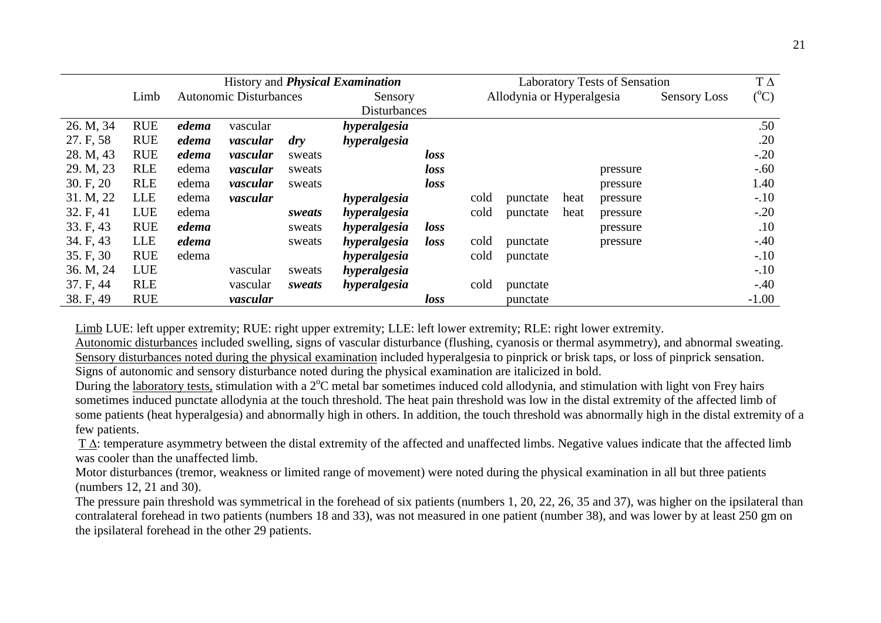|           |            | History and <i>Physical Examination</i> |                               |                |              | <b>Laboratory Tests of Sensation</b> |      |                           |      | $T\Delta$ |                     |                 |
|-----------|------------|-----------------------------------------|-------------------------------|----------------|--------------|--------------------------------------|------|---------------------------|------|-----------|---------------------|-----------------|
|           | Limb       |                                         | <b>Autonomic Disturbances</b> |                | Sensory      |                                      |      | Allodynia or Hyperalgesia |      |           | <b>Sensory Loss</b> | $({}^{\circ}C)$ |
|           |            | Disturbances                            |                               |                |              |                                      |      |                           |      |           |                     |                 |
| 26. M, 34 | <b>RUE</b> | edema                                   | vascular                      |                | hyperalgesia |                                      |      |                           |      |           |                     | .50             |
| 27. F, 58 | <b>RUE</b> | edema                                   | vascular                      | $\frac{d}{dy}$ | hyperalgesia |                                      |      |                           |      |           |                     | .20             |
| 28. M, 43 | <b>RUE</b> | edema                                   | vascular                      | sweats         |              | loss                                 |      |                           |      |           |                     | $-.20$          |
| 29. M, 23 | <b>RLE</b> | edema                                   | vascular                      | sweats         |              | loss                                 |      |                           |      | pressure  |                     | $-.60$          |
| 30. F, 20 | <b>RLE</b> | edema                                   | vascular                      | sweats         |              | loss                                 |      |                           |      | pressure  |                     | 1.40            |
| 31. M, 22 | <b>LLE</b> | edema                                   | vascular                      |                | hyperalgesia |                                      | cold | punctate                  | heat | pressure  |                     | $-.10$          |
| 32. F, 41 | LUE        | edema                                   |                               | sweats         | hyperalgesia |                                      | cold | punctate                  | heat | pressure  |                     | $-.20$          |
| 33. F, 43 | <b>RUE</b> | edema                                   |                               | sweats         | hyperalgesia | loss                                 |      |                           |      | pressure  |                     | .10             |
| 34. F, 43 | <b>LLE</b> | edema                                   |                               | sweats         | hyperalgesia | loss                                 | cold | punctate                  |      | pressure  |                     | $-.40$          |
| 35. F, 30 | <b>RUE</b> | edema                                   |                               |                | hyperalgesia |                                      | cold | punctate                  |      |           |                     | $-.10$          |
| 36. M, 24 | LUE        |                                         | vascular                      | sweats         | hyperalgesia |                                      |      |                           |      |           |                     | $-.10$          |
| 37. F, 44 | <b>RLE</b> |                                         | vascular                      | sweats         | hyperalgesia |                                      | cold | punctate                  |      |           |                     | $-.40$          |
| 38. F, 49 | <b>RUE</b> |                                         | vascular                      |                |              | loss                                 |      | punctate                  |      |           |                     | $-1.00$         |

Limb LUE: left upper extremity; RUE: right upper extremity; LLE: left lower extremity; RLE: right lower extremity.

Autonomic disturbances included swelling, signs of vascular disturbance (flushing, cyanosis or thermal asymmetry), and abnormal sweating. Sensory disturbances noted during the physical examination included hyperalgesia to pinprick or brisk taps, or loss of pinprick sensation. Signs of autonomic and sensory disturbance noted during the physical examination are italicized in bold.

During the laboratory tests, stimulation with a 2°C metal bar sometimes induced cold allodynia, and stimulation with light von Frey hairs sometimes induced punctate allodynia at the touch threshold. The heat pain threshold was low in the distal extremity of the affected limb of some patients (heat hyperalgesia) and abnormally high in others. In addition, the touch threshold was abnormally high in the distal extremity of a few patients.

T  $\Delta$ : temperature asymmetry between the distal extremity of the affected and unaffected limbs. Negative values indicate that the affected limb was cooler than the unaffected limb.

Motor disturbances (tremor, weakness or limited range of movement) were noted during the physical examination in all but three patients (numbers 12, 21 and 30).

The pressure pain threshold was symmetrical in the forehead of six patients (numbers 1, 20, 22, 26, 35 and 37), was higher on the ipsilateral than contralateral forehead in two patients (numbers 18 and 33), was not measured in one patient (number 38), and was lower by at least 250 gm on the ipsilateral forehead in the other 29 patients.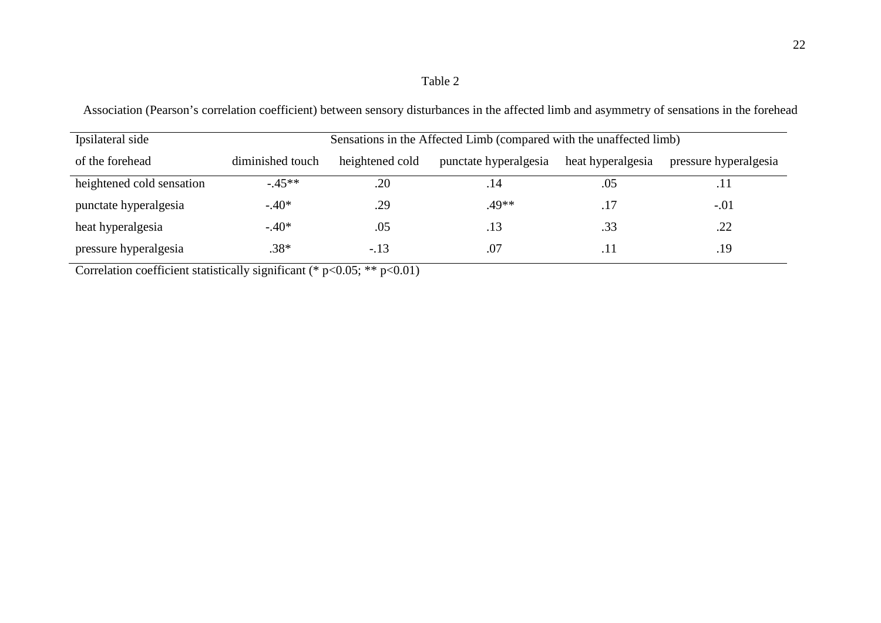### Table 2

| Ipsilateral side          |                  | Sensations in the Affected Limb (compared with the unaffected limb) |       |                   |                       |  |  |  |
|---------------------------|------------------|---------------------------------------------------------------------|-------|-------------------|-----------------------|--|--|--|
| of the forehead           | diminished touch | heightened cold                                                     |       | heat hyperalgesia | pressure hyperalgesia |  |  |  |
| heightened cold sensation | $-45**$          | .20                                                                 | .14   | .05               | .11                   |  |  |  |
| punctate hyperalgesia     | $-.40*$          | .29                                                                 | .49** | .17               | $-.01$                |  |  |  |
| heat hyperalgesia         | $-.40*$          | .05                                                                 | .13   | .33               | .22                   |  |  |  |
| pressure hyperalgesia     | .38*             | $-.13$                                                              | .07   | .11               | .19                   |  |  |  |

Association (Pearson's correlation coefficient) between sensory disturbances in the affected limb and asymmetry of sensations in the forehead

Correlation coefficient statistically significant (\* p<0.05; \*\* p<0.01)